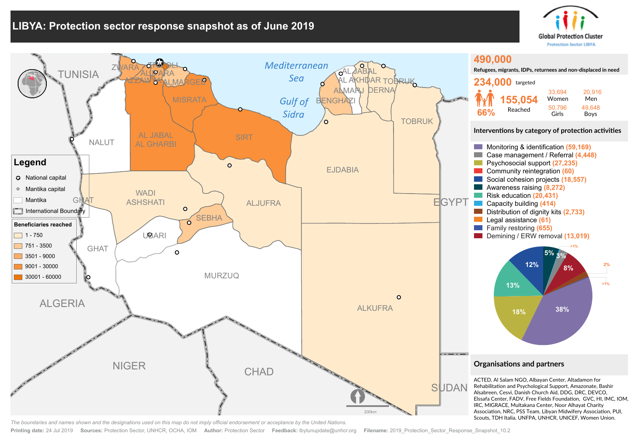## **LIBYA: Protection sector response snapshot as of June 2019**





*The boundaries and names shown and the designations used on this map do not imply official endorsement or acceptance by the United Nations.*

**Printing date:** 24 Jul 2019 **Sources:** Protection Sector, UNHCR, OCHA, IOM **Author:** Protection Sector **Feedback:** lbytunupdate@unhcr.org **Filename:** 2019\_Protection\_Sector\_Response\_Snapshot\_10.2